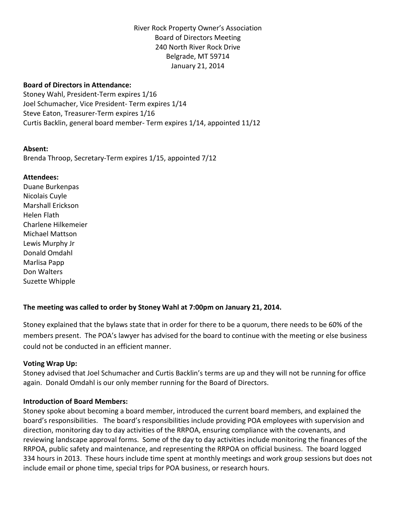River Rock Property Owner's Association Board of Directors Meeting 240 North River Rock Drive Belgrade, MT 59714 January 21, 2014

# **Board of Directors in Attendance:**

Stoney Wahl, President-Term expires 1/16 Joel Schumacher, Vice President- Term expires 1/14 Steve Eaton, Treasurer-Term expires 1/16 Curtis Backlin, general board member- Term expires 1/14, appointed 11/12

#### **Absent:**

Brenda Throop, Secretary-Term expires 1/15, appointed 7/12

# **Attendees:**

Duane Burkenpas Nicolais Cuyle Marshall Erickson Helen Flath Charlene Hilkemeier Michael Mattson Lewis Murphy Jr Donald Omdahl Marlisa Papp Don Walters Suzette Whipple

# **The meeting was called to order by Stoney Wahl at 7:00pm on January 21, 2014.**

Stoney explained that the bylaws state that in order for there to be a quorum, there needs to be 60% of the members present. The POA's lawyer has advised for the board to continue with the meeting or else business could not be conducted in an efficient manner.

# **Voting Wrap Up:**

Stoney advised that Joel Schumacher and Curtis Backlin's terms are up and they will not be running for office again. Donald Omdahl is our only member running for the Board of Directors.

# **Introduction of Board Members:**

Stoney spoke about becoming a board member, introduced the current board members, and explained the board's responsibilities. The board's responsibilities include providing POA employees with supervision and direction, monitoring day to day activities of the RRPOA, ensuring compliance with the covenants, and reviewing landscape approval forms. Some of the day to day activities include monitoring the finances of the RRPOA, public safety and maintenance, and representing the RRPOA on official business. The board logged 334 hours in 2013. These hours include time spent at monthly meetings and work group sessions but does not include email or phone time, special trips for POA business, or research hours.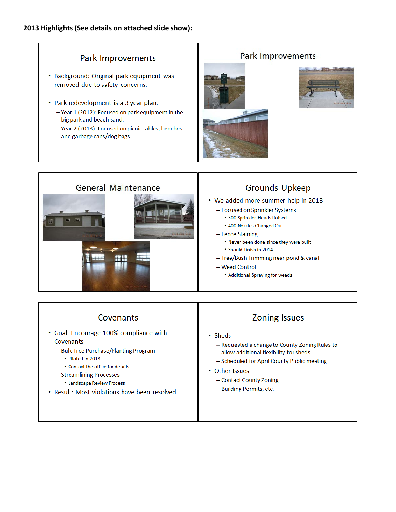# **2013 Highlights (See details on attached slide show):**

# Park Improvements

- Background: Original park equipment was removed due to safety concerns.
- Park redevelopment is a 3 year plan.
	- Year 1 (2012): Focused on park equipment in the big park and beach sand.
	- Year 2 (2013): Focused on picnic tables, benches and garbage cans/dog bags.







# **Grounds Upkeep**

- We added more summer help in 2013
	- Focused on Sprinkler Systems
		- 300 Sprinkler Heads Raised
		- . 400 Nozzles Changed Out
	- Fence Staining
		- . Never been done since they were built
		- · Should finish in 2014
	- Tree/Bush Trimming near pond & canal
	- Weed Control
		- Additional Spraying for weeds

# Covenants

- Goal: Encourage 100% compliance with Covenants
	- Bulk Tree Purchase/Planting Program
		- Piloted in 2013
		- Contact the office for details
	- Streamlining Processes
		- Landscape Review Process
- Result: Most violations have been resolved.

# **Zoning Issues**

- Sheds
	- Requested a change to County Zoning Rules to allow additional flexibility for sheds
	- Scheduled for April County Public meeting
- Other Issues
	- Contact County Zoning
	- Building Permits, etc.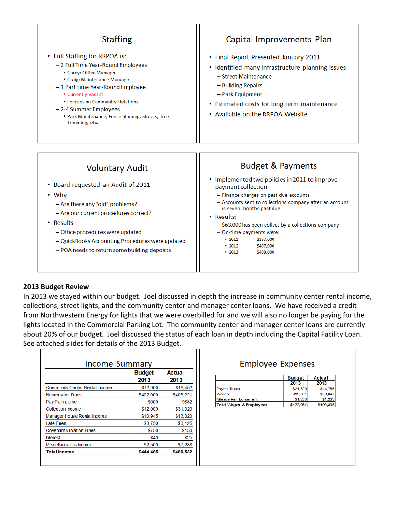

# **2013 Budget Review**

Г

In 2013 we stayed within our budget. Joel discussed in depth the increase in community center rental income, collections, street lights, and the community center and manager center loans. We have received a credit from Northwestern Energy for lights that we were overbilled for and we will also no longer be paying for the lights located in the Commercial Parking Lot. The community center and manager center loans are currently about 20% of our budget. Joel discussed the status of each loan in depth including the Capital Facility Loan. See attached slides for details of the 2013 Budget.

ח ר

| <b>Income Summary</b>           |               |           | Employee                           |
|---------------------------------|---------------|-----------|------------------------------------|
|                                 | <b>Budget</b> | Actual    |                                    |
|                                 | 2013          | 2013      |                                    |
| Community Center Rental Income  | \$12,000      | \$16,452  | <b>Payroll Taxes</b>               |
| <b>Homeowner Dues</b>           | \$402,000     | \$408,221 | Wages                              |
| Pay Pal Income                  | \$500         | \$682     | Mileage Reimbursement              |
| Collection Income               | \$12,000      | \$31,320  | <b>Total Wages &amp; Employees</b> |
| Manager House Rental Income     | \$10.945      | \$13,320  |                                    |
| Late Fees                       | \$3.750       | \$3.125   |                                    |
| <b>Covenant Violation Fines</b> | \$750         | \$150     |                                    |
| <b>Interest</b>                 | \$40          | \$25      |                                    |
| Miscellaneaous Income           | \$2,500       | \$7,238   |                                    |
| <b>Total Income</b>             | \$444,485     | \$480,532 |                                    |

# **Expenses**

|                                    | <b>Budget</b><br>2013 | Actual<br>2013 |
|------------------------------------|-----------------------|----------------|
| <b>Payroll Taxes</b>               | \$21,500              | \$14,755       |
| Wages                              | \$99.331              | \$93,847       |
| Mileage Reimbursement              | \$1,200               | \$1,233        |
| <b>Total Wages &amp; Employees</b> | \$122,031             | \$109,835      |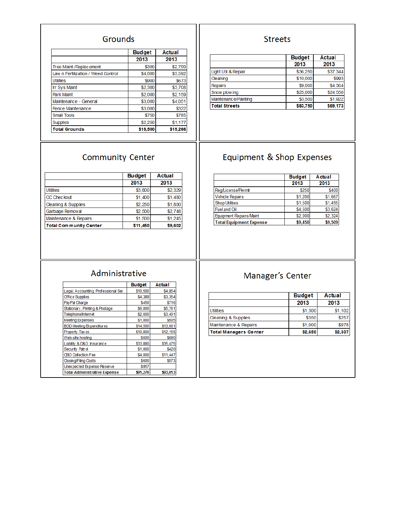# Grounds

|                                    | <b>Budget</b> | Actual   |
|------------------------------------|---------------|----------|
|                                    | 2013          | 2013     |
| Tree Maint./Replacement            | \$300         | \$2,799  |
| Law n Fertilization / Weed Control | \$4,000       | \$3,592  |
| <b>Utilities</b>                   | \$900         | \$673    |
| <b>Irr Sys Maint</b>               | \$2,300       | \$3,708  |
| <b>Park Maint</b>                  | \$2,000       | \$2,159  |
| Maintenance - General              | \$3,000       | \$4,051  |
| Fence Maintenance                  | \$3,000       | \$322    |
| <b>Small Tools</b>                 | \$750         | \$785    |
| <b>Supplies</b>                    | \$2,250       | \$1,177  |
| <b>Total Grounds</b>               | \$18,500      | \$19,266 |

# **Streets**

|                      | <b>Budget</b> | Actual   |
|----------------------|---------------|----------|
|                      | 2013          | 2013     |
| Light Util & Repair  | \$36,250      | \$37,344 |
| Cleaning             | \$10,000      | \$993    |
| <b>Repairs</b>       | \$9,000       | \$4,364  |
| Snow plow ing        | \$25,000      | \$24,550 |
| Maintenance/Painting | \$3,500       | \$1,922  |
| <b>Total Streets</b> | \$83,750      | \$69,173 |

# **Community Center**

#### **Budget** Actual 2013 2013 **Utilities** \$3,800 \$2,329  $$1,400$  $$1,480$ CC Checkout  $$2,250$  $$1,800$ Cleaning & Supplies Garbage Removal  $$2,500$  $$2,748$  $$1,245$ Maintenance & Repairs  $$1,500$ Total Com munity Center \$11,450 \$9,602

# Equipment & Shop Expenses

|                                | <b>Budget</b> | Actual  |
|--------------------------------|---------------|---------|
|                                | 2013          | 2013    |
| Reg/License/Permit             | \$250         | \$400   |
| <b>Vehicle Repairs</b>         | \$1,200       | \$1,667 |
| <b>Shop Utilities</b>          | \$1,500       | \$1,495 |
| <b>Fuel and Oil</b>            | \$4,500       | \$3,624 |
| Equipment Repairs/Maint        | \$2,000       | \$2.324 |
| <b>Total Equipment Expense</b> | \$9,450       | \$9,509 |

# Administrative

|                                      | <b>Budget</b> | Actual   |
|--------------------------------------|---------------|----------|
| Legal, Accounting, Professional Ser. | \$10,500      | \$4,854  |
| <b>Office Supplies</b>               | \$4,389       | \$3,354  |
| PayPal Charge                        | \$450         | \$716    |
| Stationary, Printing & Postage       | \$6,000       | \$5,761  |
| Telephone/Internet                   | \$2,600       | \$3,401  |
| <b>Meeting Expenses</b>              | \$1,000       | \$505    |
| <b>BOD Meeting Expenditures</b>      | \$14,500      | \$13,661 |
| Property Taxes                       | \$10,800      | \$12,156 |
| Web-site hosting                     | \$600         | \$690    |
| Liability & D&O Insurance            | \$33,880      | \$35,475 |
| Security Patrol                      | \$1,000       | \$420    |
| CBO Collection Fee                   | \$4,000       | \$11,447 |
| Closing/Filing Costs                 | \$600         | \$573    |
| Unex pected Expense Reserve          | \$957         |          |
| <b>Total Administrative Expense</b>  | \$91.276      | \$93,013 |

# Manager's Center

|                              | <b>Budget</b> | Actual  |
|------------------------------|---------------|---------|
|                              | 2013          | 2013    |
| <b>Utilities</b>             | \$1,300       | \$1,102 |
| Cleaning & Supplies          | \$350         | \$257   |
| Maintenance & Repairs        | \$1,000       | \$978   |
| <b>Total Managers Center</b> | \$2,650       | \$2,337 |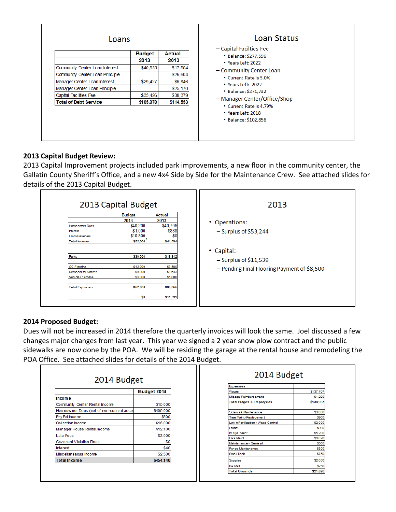| Loans                                                             |               |                      | Loan Status<br>- Capital Facilties Fee                                |
|-------------------------------------------------------------------|---------------|----------------------|-----------------------------------------------------------------------|
|                                                                   | <b>Budget</b> | Actual               | • Balance: \$277,596                                                  |
|                                                                   | 2013          | 2013                 | $\cdot$ Years Left: 2022                                              |
| Community Center Loan Interest<br>Community Center Loan Principle | \$40,525      | \$17,554<br>\$26,604 | - Community Center Loan                                               |
| Manager Center Loan Interest                                      | \$29,427      | \$6,846              | • Current Rate is 5.0%                                                |
| Manager Center Loan Principle                                     |               | \$25,170             | • Years Left: 2022                                                    |
| <b>Capital Facilities Fee</b>                                     | \$35,426      | \$38,379             | • Balance: \$271,732                                                  |
| <b>Total of Debt Service</b>                                      | \$105,378     | \$114,553            | - Manager Center/Office/Shop                                          |
|                                                                   |               |                      | • Current Rate is 4.79%<br>• Years Left: 2018<br>• Balance: \$102,856 |

# **2013 Capital Budget Review:**

2013 Capital Improvement projects included park improvements, a new floor in the community center, the Gallatin County Sheriff's Office, and a new 4x4 Side by Side for the Maintenance Crew. See attached slides for details of the 2013 Capital Budget.

|                                                                                     | 2013 Capital Budget                                                              |                                                                           | 2013                                                                   |
|-------------------------------------------------------------------------------------|----------------------------------------------------------------------------------|---------------------------------------------------------------------------|------------------------------------------------------------------------|
| Homeowner Dues<br><b>Interest</b><br><b>From Reserves</b><br>Total In come<br>Parks | <b>Budget</b><br>2013<br>\$40,200<br>\$1,000<br>\$10,800<br>\$52,000<br>\$30,000 | <b>Actual</b><br>2013<br>\$40,706<br>\$888<br>\$0<br>\$41,594<br>\$19,912 | • Operations:<br>$-$ Surplus of \$53,244<br>• Capital:                 |
| CC Flooring<br>Remodel for Sherrif<br>Vehicle Purchase<br><b>Total Expenses</b>     | \$12,000<br>\$5,000<br>\$5,000<br>\$52,000<br>\$0                                | \$3,500<br>\$1,643<br>\$5,000<br>\$30,055<br>\$11,539                     | $-$ Surplus of \$11,539<br>- Pending Final Flooring Payment of \$8,500 |

# **2014 Proposed Budget:**

Dues will not be increased in 2014 therefore the quarterly invoices will look the same. Joel discussed a few changes major changes from last year. This year we signed a 2 year snow plow contract and the public sidewalks are now done by the POA. We will be residing the garage at the rental house and remodeling the POA Office. See attached slides for details of the 2014 Budget.

|                                          | Budget 2014 |
|------------------------------------------|-------------|
| Income                                   |             |
| Community Center Rental Income           | \$15,000    |
| Homeowner Dues (net of non-current accou | \$405,000   |
| Pay Pal Income                           | \$500       |
| Collection Income                        | \$16,000    |
| Manager House Rental Income              | \$12,100    |
| Late Fees                                | \$3,000     |
| Covenant Violation Fines                 | \$0         |
| Interest                                 | \$40        |
| Miscellaneaous Income                    | \$2,500     |
| <b>Total Income</b>                      | \$454,140   |

| 2014 Budget                        |               |
|------------------------------------|---------------|
| Expenses                           |               |
| Wages                              | \$137,767     |
| Mileage Reimburs ement             | \$1,200       |
| Total Wages & Employees            | \$138,967     |
|                                    |               |
| Sidew alk Maintenance              | \$3,000       |
| Tree Maint./Replacement            | \$900         |
| Law n Fertilization / Weed Control | <b>S2.000</b> |
| <b>Litilities</b>                  | \$900         |
| Irr Sys Maint                      | \$5,200       |
| Park Maint                         | \$6,020       |
| Maintenance - General              | <b>S500</b>   |
| Fence Maintenance                  | \$300         |
| Small Tools                        | <b>S750</b>   |
| <b>Supplies</b>                    | \$2,000       |
| loe Melt                           | <b>\$250</b>  |
| <b>Total Grounds</b>               | \$21,820      |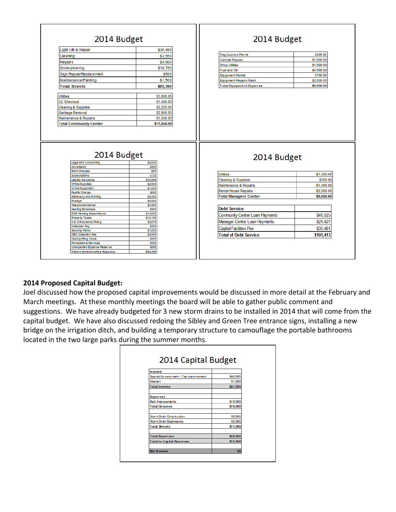| 2014 Budget                               |                     | 2014 Budget                    |            |
|-------------------------------------------|---------------------|--------------------------------|------------|
| Light Util & Repair                       | \$36,490            |                                |            |
| Cleaning                                  | \$3,550             | Reg/Licens e/Permit            | \$250.00   |
| Repairs                                   | \$4,600             | <b>Vehicle Repairs</b>         | \$1,000.00 |
|                                           |                     | <b>Shop Utilities</b>          | \$1,500.00 |
| Snow plow ing                             | \$18,750            | Fuel and Oil                   | \$4,500.00 |
| Sign Repair/Replacement                   | \$500               | <b>Equipment Rental</b>        | \$700.00   |
| Maintenance/Painting                      | \$1,500             | Equipment Repairs/Maint        | \$2,000.00 |
| <b>Total Streets</b>                      | \$65,390            | <b>Total Equipment Expense</b> | \$9,950.00 |
| <b>Utilities</b>                          | \$3,800.00          |                                |            |
| <b>CC Checkout</b>                        | \$1,400.00          |                                |            |
| <b>Cleaning &amp; Supplies</b>            | \$2,250.00          |                                |            |
| Garbage Removal                           | \$2,900.00          |                                |            |
| Maintenance & Repairs                     |                     |                                |            |
|                                           | \$1,500.00          |                                |            |
| <b>Total Community Center</b>             | \$11,850.00         |                                |            |
| 2014 Budget<br>Legal and Accounting       | \$8,000             | 2014 Budget                    |            |
| Advertising<br><b>Bank Charges</b>        | \$250<br>\$50       |                                |            |
| Subscriptions                             | \$725               | <b>Utilities</b>               | \$1,300.00 |
| Liability his urance                      | \$33,858            | <b>Cleaning &amp; Supplies</b> | \$350.00   |
| Of fice Supples                           | \$2,500             | Maintenance & Repairs          | \$1,500.00 |
| Of fice Equipment                         | \$1,000<br>\$650    | <b>Rental House Repairs</b>    | \$3,500.00 |
| PayPal Charge<br>Stationary and Printing  | \$2,000             | <b>Total Managers Center</b>   | \$6,650.00 |
| Postage                                   | \$4,000             |                                |            |
| Tele phone/Internet                       | \$2,400             |                                |            |
| Mee ting Expenses                         | \$800               | <b>Debt Service</b>            |            |
| <b>BOD Meeting Expenditures</b>           | \$14,000            | Community Center Loan Payments | \$40.525   |
| Property Taxes<br>D& O hsurance Policy    | \$12,150<br>\$3,075 |                                | \$29,427   |
| Notetaker Pay                             | \$500               | Manager Center Loan Payments   |            |
| Security Patrol                           | \$1,000             | Capital Facilities Fee         | \$35,461   |
| CBO Colection Fee<br>Closing/Filing Costs | \$4,500<br>\$650    | <b>Total of Debt Service</b>   | \$105,413  |

# **2014 Proposed Capital Budget:**

Joel discussed how the proposed capital improvements would be discussed in more detail at the February and March meetings. At these monthly meetings the board will be able to gather public comment and suggestions. We have already budgeted for 3 new storm drains to be installed in 2014 that will come from the capital budget. We have also discussed redoing the Sibley and Green Tree entrance signs, installing a new bridge on the irrigation ditch, and building a temporary structure to camouflage the portable bathrooms located in the two large parks during the summer months.

| Income                                 |          |
|----------------------------------------|----------|
| Special As sess ment - Cap Improvement | \$40,500 |
| Interest                               | \$1,000  |
| <b>Total Income</b>                    | \$41,500 |
| <b>Expenses</b>                        |          |
| <b>Park Improvements</b>               | \$15,000 |
| <b>Total Grounds</b>                   | \$15,000 |
| Storm Drain Construction               | \$9,000  |
| Storm Drain Engineering                | \$2,000  |
| <b>Total Streets</b>                   | \$11,000 |
| <b>Total Expenses</b>                  | \$26,000 |
| <b>Total to Capital Reserves</b>       | \$15,500 |
| Net Income                             | \$0      |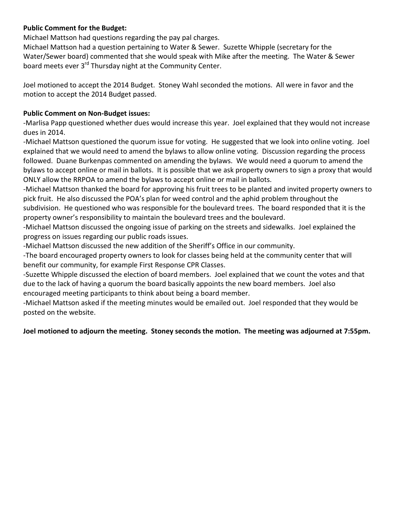# **Public Comment for the Budget:**

Michael Mattson had questions regarding the pay pal charges.

Michael Mattson had a question pertaining to Water & Sewer. Suzette Whipple (secretary for the Water/Sewer board) commented that she would speak with Mike after the meeting. The Water & Sewer board meets ever 3<sup>rd</sup> Thursday night at the Community Center.

Joel motioned to accept the 2014 Budget. Stoney Wahl seconded the motions. All were in favor and the motion to accept the 2014 Budget passed.

# **Public Comment on Non-Budget issues:**

-Marlisa Papp questioned whether dues would increase this year. Joel explained that they would not increase dues in 2014.

-Michael Mattson questioned the quorum issue for voting. He suggested that we look into online voting. Joel explained that we would need to amend the bylaws to allow online voting. Discussion regarding the process followed. Duane Burkenpas commented on amending the bylaws. We would need a quorum to amend the bylaws to accept online or mail in ballots. It is possible that we ask property owners to sign a proxy that would ONLY allow the RRPOA to amend the bylaws to accept online or mail in ballots.

-Michael Mattson thanked the board for approving his fruit trees to be planted and invited property owners to pick fruit. He also discussed the POA's plan for weed control and the aphid problem throughout the subdivision. He questioned who was responsible for the boulevard trees. The board responded that it is the property owner's responsibility to maintain the boulevard trees and the boulevard.

-Michael Mattson discussed the ongoing issue of parking on the streets and sidewalks. Joel explained the progress on issues regarding our public roads issues.

-Michael Mattson discussed the new addition of the Sheriff's Office in our community.

-The board encouraged property owners to look for classes being held at the community center that will benefit our community, for example First Response CPR Classes.

-Suzette Whipple discussed the election of board members. Joel explained that we count the votes and that due to the lack of having a quorum the board basically appoints the new board members. Joel also encouraged meeting participants to think about being a board member.

-Michael Mattson asked if the meeting minutes would be emailed out. Joel responded that they would be posted on the website.

# **Joel motioned to adjourn the meeting. Stoney seconds the motion. The meeting was adjourned at 7:55pm.**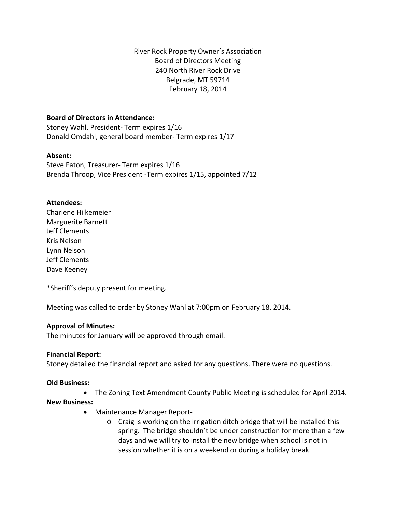River Rock Property Owner's Association Board of Directors Meeting 240 North River Rock Drive Belgrade, MT 59714 February 18, 2014

# **Board of Directors in Attendance:**

Stoney Wahl, President- Term expires 1/16 Donald Omdahl, general board member- Term expires 1/17

# **Absent:**

Steve Eaton, Treasurer- Term expires 1/16 Brenda Throop, Vice President -Term expires 1/15, appointed 7/12

# **Attendees:**

Charlene Hilkemeier Marguerite Barnett Jeff Clements Kris Nelson Lynn Nelson Jeff Clements Dave Keeney

\*Sheriff's deputy present for meeting.

Meeting was called to order by Stoney Wahl at 7:00pm on February 18, 2014.

# **Approval of Minutes:**

The minutes for January will be approved through email.

# **Financial Report:**

Stoney detailed the financial report and asked for any questions. There were no questions.

# **Old Business:**

• The Zoning Text Amendment County Public Meeting is scheduled for April 2014.

# **New Business:**

- Maintenance Manager Report
	- o Craig is working on the irrigation ditch bridge that will be installed this spring. The bridge shouldn't be under construction for more than a few days and we will try to install the new bridge when school is not in session whether it is on a weekend or during a holiday break.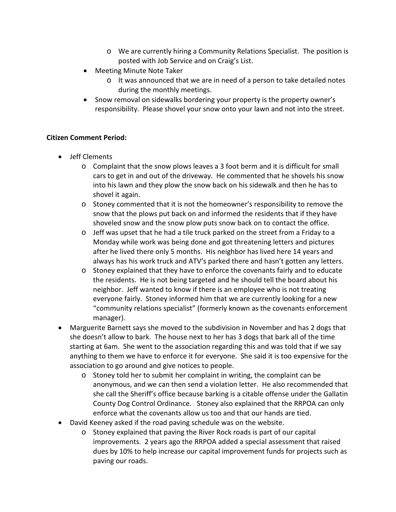- o We are currently hiring a Community Relations Specialist. The position is posted with Job Service and on Craig's List.
- Meeting Minute Note Taker
	- o It was announced that we are in need of a person to take detailed notes during the monthly meetings.
- Snow removal on sidewalks bordering your property is the property owner's responsibility. Please shovel your snow onto your lawn and not into the street.

# **Citizen Comment Period:**

- Jeff Clements
	- o Complaint that the snow plows leaves a 3 foot berm and it is difficult for small cars to get in and out of the driveway. He commented that he shovels his snow into his lawn and they plow the snow back on his sidewalk and then he has to shovel it again.
	- o Stoney commented that it is not the homeowner's responsibility to remove the snow that the plows put back on and informed the residents that if they have shoveled snow and the snow plow puts snow back on to contact the office.
	- $\circ$  Jeff was upset that he had a tile truck parked on the street from a Friday to a Monday while work was being done and got threatening letters and pictures after he lived there only 5 months. His neighbor has lived here 14 years and always has his work truck and ATV's parked there and hasn't gotten any letters.
	- o Stoney explained that they have to enforce the covenants fairly and to educate the residents. He is not being targeted and he should tell the board about his neighbor. Jeff wanted to know if there is an employee who is not treating everyone fairly. Stoney informed him that we are currently looking for a new "community relations specialist" (formerly known as the covenants enforcement manager).
- Marguerite Barnett says she moved to the subdivision in November and has 2 dogs that she doesn't allow to bark. The house next to her has 3 dogs that bark all of the time starting at 6am. She went to the association regarding this and was told that if we say anything to them we have to enforce it for everyone. She said it is too expensive for the association to go around and give notices to people.
	- o Stoney told her to submit her complaint in writing, the complaint can be anonymous, and we can then send a violation letter. He also recommended that she call the Sheriff's office because barking is a citable offense under the Gallatin County Dog Control Ordinance. Stoney also explained that the RRPOA can only enforce what the covenants allow us too and that our hands are tied.
- David Keeney asked if the road paving schedule was on the website.
	- o Stoney explained that paving the River Rock roads is part of our capital improvements. 2 years ago the RRPOA added a special assessment that raised dues by 10% to help increase our capital improvement funds for projects such as paving our roads.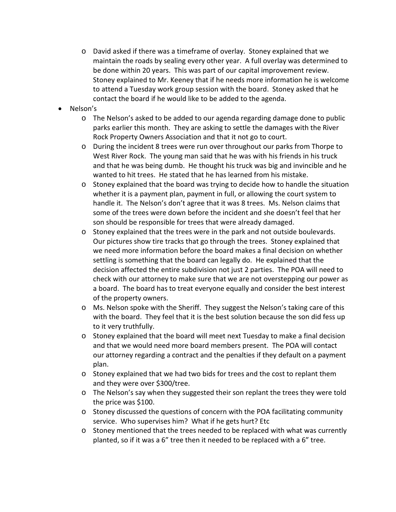- o David asked if there was a timeframe of overlay. Stoney explained that we maintain the roads by sealing every other year. A full overlay was determined to be done within 20 years. This was part of our capital improvement review. Stoney explained to Mr. Keeney that if he needs more information he is welcome to attend a Tuesday work group session with the board. Stoney asked that he contact the board if he would like to be added to the agenda.
- Nelson's
	- o The Nelson's asked to be added to our agenda regarding damage done to public parks earlier this month. They are asking to settle the damages with the River Rock Property Owners Association and that it not go to court.
	- o During the incident 8 trees were run over throughout our parks from Thorpe to West River Rock. The young man said that he was with his friends in his truck and that he was being dumb. He thought his truck was big and invincible and he wanted to hit trees. He stated that he has learned from his mistake.
	- $\circ$  Stoney explained that the board was trying to decide how to handle the situation whether it is a payment plan, payment in full, or allowing the court system to handle it. The Nelson's don't agree that it was 8 trees. Ms. Nelson claims that some of the trees were down before the incident and she doesn't feel that her son should be responsible for trees that were already damaged.
	- o Stoney explained that the trees were in the park and not outside boulevards. Our pictures show tire tracks that go through the trees. Stoney explained that we need more information before the board makes a final decision on whether settling is something that the board can legally do. He explained that the decision affected the entire subdivision not just 2 parties. The POA will need to check with our attorney to make sure that we are not overstepping our power as a board. The board has to treat everyone equally and consider the best interest of the property owners.
	- o Ms. Nelson spoke with the Sheriff. They suggest the Nelson's taking care of this with the board. They feel that it is the best solution because the son did fess up to it very truthfully.
	- $\circ$  Stoney explained that the board will meet next Tuesday to make a final decision and that we would need more board members present. The POA will contact our attorney regarding a contract and the penalties if they default on a payment plan.
	- o Stoney explained that we had two bids for trees and the cost to replant them and they were over \$300/tree.
	- o The Nelson's say when they suggested their son replant the trees they were told the price was \$100.
	- o Stoney discussed the questions of concern with the POA facilitating community service. Who supervises him? What if he gets hurt? Etc
	- o Stoney mentioned that the trees needed to be replaced with what was currently planted, so if it was a 6" tree then it needed to be replaced with a 6" tree.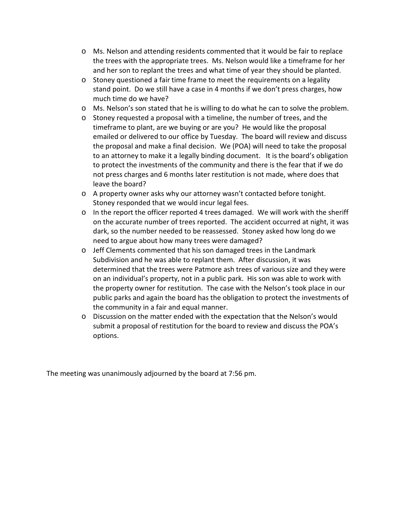- o Ms. Nelson and attending residents commented that it would be fair to replace the trees with the appropriate trees. Ms. Nelson would like a timeframe for her and her son to replant the trees and what time of year they should be planted.
- o Stoney questioned a fair time frame to meet the requirements on a legality stand point. Do we still have a case in 4 months if we don't press charges, how much time do we have?
- o Ms. Nelson's son stated that he is willing to do what he can to solve the problem.
- o Stoney requested a proposal with a timeline, the number of trees, and the timeframe to plant, are we buying or are you? He would like the proposal emailed or delivered to our office by Tuesday. The board will review and discuss the proposal and make a final decision. We (POA) will need to take the proposal to an attorney to make it a legally binding document. It is the board's obligation to protect the investments of the community and there is the fear that if we do not press charges and 6 months later restitution is not made, where does that leave the board?
- o A property owner asks why our attorney wasn't contacted before tonight. Stoney responded that we would incur legal fees.
- $\circ$  In the report the officer reported 4 trees damaged. We will work with the sheriff on the accurate number of trees reported. The accident occurred at night, it was dark, so the number needed to be reassessed. Stoney asked how long do we need to argue about how many trees were damaged?
- o Jeff Clements commented that his son damaged trees in the Landmark Subdivision and he was able to replant them. After discussion, it was determined that the trees were Patmore ash trees of various size and they were on an individual's property, not in a public park. His son was able to work with the property owner for restitution. The case with the Nelson's took place in our public parks and again the board has the obligation to protect the investments of the community in a fair and equal manner.
- o Discussion on the matter ended with the expectation that the Nelson's would submit a proposal of restitution for the board to review and discuss the POA's options.

The meeting was unanimously adjourned by the board at 7:56 pm.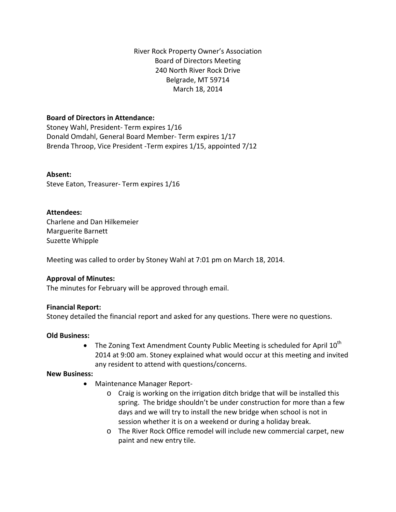River Rock Property Owner's Association Board of Directors Meeting 240 North River Rock Drive Belgrade, MT 59714 March 18, 2014

# **Board of Directors in Attendance:**

Stoney Wahl, President- Term expires 1/16 Donald Omdahl, General Board Member- Term expires 1/17 Brenda Throop, Vice President -Term expires 1/15, appointed 7/12

# **Absent:**

Steve Eaton, Treasurer- Term expires 1/16

# **Attendees:**

Charlene and Dan Hilkemeier Marguerite Barnett Suzette Whipple

Meeting was called to order by Stoney Wahl at 7:01 pm on March 18, 2014.

# **Approval of Minutes:**

The minutes for February will be approved through email.

# **Financial Report:**

Stoney detailed the financial report and asked for any questions. There were no questions.

# **Old Business:**

• The Zoning Text Amendment County Public Meeting is scheduled for April  $10^{th}$ 2014 at 9:00 am. Stoney explained what would occur at this meeting and invited any resident to attend with questions/concerns.

# **New Business:**

- Maintenance Manager Report
	- o Craig is working on the irrigation ditch bridge that will be installed this spring. The bridge shouldn't be under construction for more than a few days and we will try to install the new bridge when school is not in session whether it is on a weekend or during a holiday break.
	- o The River Rock Office remodel will include new commercial carpet, new paint and new entry tile.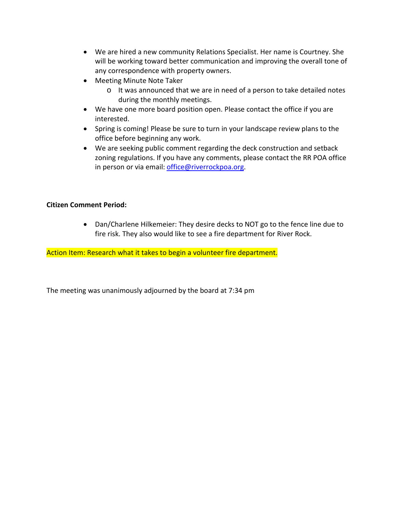- We are hired a new community Relations Specialist. Her name is Courtney. She will be working toward better communication and improving the overall tone of any correspondence with property owners.
- Meeting Minute Note Taker
	- o It was announced that we are in need of a person to take detailed notes during the monthly meetings.
- We have one more board position open. Please contact the office if you are interested.
- Spring is coming! Please be sure to turn in your landscape review plans to the office before beginning any work.
- We are seeking public comment regarding the deck construction and setback zoning regulations. If you have any comments, please contact the RR POA office in person or via email: [office@riverrockpoa.org.](mailto:office@riverrockpoa.org)

# **Citizen Comment Period:**

• Dan/Charlene Hilkemeier: They desire decks to NOT go to the fence line due to fire risk. They also would like to see a fire department for River Rock.

Action Item: Research what it takes to begin a volunteer fire department.

The meeting was unanimously adjourned by the board at 7:34 pm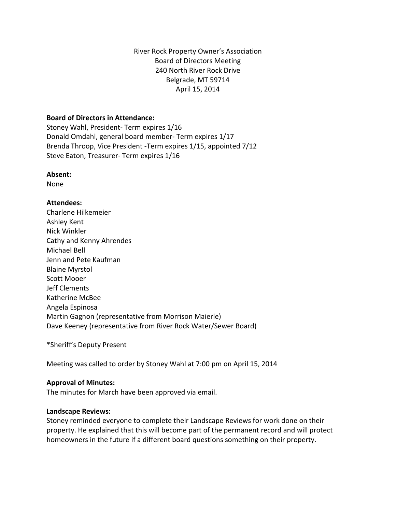River Rock Property Owner's Association Board of Directors Meeting 240 North River Rock Drive Belgrade, MT 59714 April 15, 2014

#### **Board of Directors in Attendance:**

Stoney Wahl, President- Term expires 1/16 Donald Omdahl, general board member- Term expires 1/17 Brenda Throop, Vice President -Term expires 1/15, appointed 7/12 Steve Eaton, Treasurer- Term expires 1/16

#### **Absent:**

None

# **Attendees:**

Charlene Hilkemeier Ashley Kent Nick Winkler Cathy and Kenny Ahrendes Michael Bell Jenn and Pete Kaufman Blaine Myrstol Scott Mooer Jeff Clements Katherine McBee Angela Espinosa Martin Gagnon (representative from Morrison Maierle) Dave Keeney (representative from River Rock Water/Sewer Board)

\*Sheriff's Deputy Present

Meeting was called to order by Stoney Wahl at 7:00 pm on April 15, 2014

# **Approval of Minutes:**

The minutes for March have been approved via email.

#### **Landscape Reviews:**

Stoney reminded everyone to complete their Landscape Reviews for work done on their property. He explained that this will become part of the permanent record and will protect homeowners in the future if a different board questions something on their property.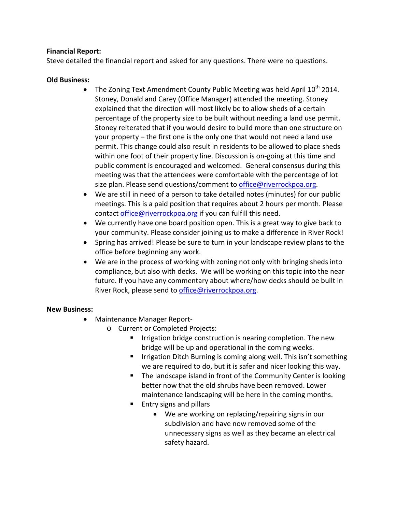# **Financial Report:**

Steve detailed the financial report and asked for any questions. There were no questions.

# **Old Business:**

- The Zoning Text Amendment County Public Meeting was held April  $10^{th}$  2014. Stoney, Donald and Carey (Office Manager) attended the meeting. Stoney explained that the direction will most likely be to allow sheds of a certain percentage of the property size to be built without needing a land use permit. Stoney reiterated that if you would desire to build more than one structure on your property – the first one is the only one that would not need a land use permit. This change could also result in residents to be allowed to place sheds within one foot of their property line. Discussion is on-going at this time and public comment is encouraged and welcomed. General consensus during this meeting was that the attendees were comfortable with the percentage of lot size plan. Please send questions/comment to *office@riverrockpoa.org*.
- We are still in need of a person to take detailed notes (minutes) for our public meetings. This is a paid position that requires about 2 hours per month. Please contact [office@riverrockpoa.org](mailto:office@riverrockpoa.org) if you can fulfill this need.
- We currently have one board position open. This is a great way to give back to your community. Please consider joining us to make a difference in River Rock!
- Spring has arrived! Please be sure to turn in your landscape review plans to the office before beginning any work.
- We are in the process of working with zoning not only with bringing sheds into compliance, but also with decks. We will be working on this topic into the near future. If you have any commentary about where/how decks should be built in River Rock, please send to [office@riverrockpoa.org.](mailto:office@riverrockpoa.org)

# **New Business:**

- Maintenance Manager Report
	- o Current or Completed Projects:
		- **IF Irrigation bridge construction is nearing completion. The new** bridge will be up and operational in the coming weeks.
		- **IF Irrigation Ditch Burning is coming along well. This isn't something** we are required to do, but it is safer and nicer looking this way.
		- The landscape island in front of the Community Center is looking better now that the old shrubs have been removed. Lower maintenance landscaping will be here in the coming months.
		- **Entry signs and pillars** 
			- We are working on replacing/repairing signs in our subdivision and have now removed some of the unnecessary signs as well as they became an electrical safety hazard.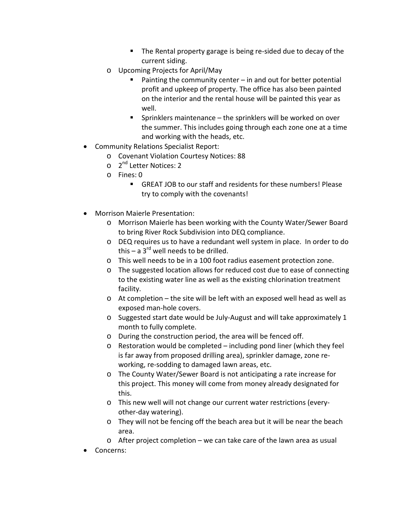- The Rental property garage is being re-sided due to decay of the current siding.
- o Upcoming Projects for April/May
	- **Painting the community center in and out for better potential** profit and upkeep of property. The office has also been painted on the interior and the rental house will be painted this year as well.
	- **Sprinklers maintenance the sprinklers will be worked on over** the summer. This includes going through each zone one at a time and working with the heads, etc.
- Community Relations Specialist Report:
	- o Covenant Violation Courtesy Notices: 88
	- $\circ$  2<sup>nd</sup> Letter Notices: 2
	- o Fines: 0
		- GREAT JOB to our staff and residents for these numbers! Please try to comply with the covenants!
- Morrison Maierle Presentation:
	- o Morrison Maierle has been working with the County Water/Sewer Board to bring River Rock Subdivision into DEQ compliance.
	- o DEQ requires us to have a redundant well system in place. In order to do this – a  $3^{rd}$  well needs to be drilled.
	- o This well needs to be in a 100 foot radius easement protection zone.
	- o The suggested location allows for reduced cost due to ease of connecting to the existing water line as well as the existing chlorination treatment facility.
	- o At completion the site will be left with an exposed well head as well as exposed man-hole covers.
	- o Suggested start date would be July-August and will take approximately 1 month to fully complete.
	- o During the construction period, the area will be fenced off.
	- o Restoration would be completed including pond liner (which they feel is far away from proposed drilling area), sprinkler damage, zone reworking, re-sodding to damaged lawn areas, etc.
	- o The County Water/Sewer Board is not anticipating a rate increase for this project. This money will come from money already designated for this.
	- o This new well will not change our current water restrictions (everyother-day watering).
	- o They will not be fencing off the beach area but it will be near the beach area.
	- o After project completion we can take care of the lawn area as usual
- Concerns: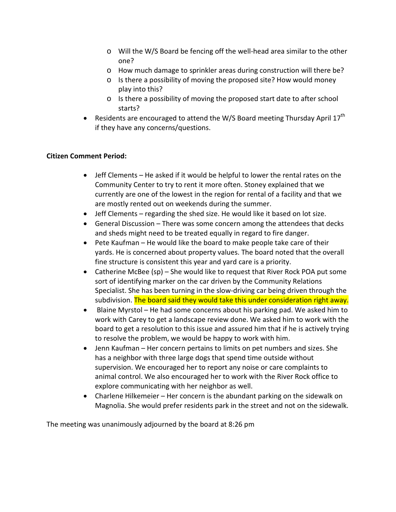- o Will the W/S Board be fencing off the well-head area similar to the other one?
- o How much damage to sprinkler areas during construction will there be?
- $\circ$  Is there a possibility of moving the proposed site? How would money play into this?
- o Is there a possibility of moving the proposed start date to after school starts?
- Residents are encouraged to attend the W/S Board meeting Thursday April  $17^{th}$ if they have any concerns/questions.

# **Citizen Comment Period:**

- Jeff Clements He asked if it would be helpful to lower the rental rates on the Community Center to try to rent it more often. Stoney explained that we currently are one of the lowest in the region for rental of a facility and that we are mostly rented out on weekends during the summer.
- Jeff Clements regarding the shed size. He would like it based on lot size.
- General Discussion There was some concern among the attendees that decks and sheds might need to be treated equally in regard to fire danger.
- Pete Kaufman He would like the board to make people take care of their yards. He is concerned about property values. The board noted that the overall fine structure is consistent this year and yard care is a priority.
- Catherine McBee (sp) She would like to request that River Rock POA put some sort of identifying marker on the car driven by the Community Relations Specialist. She has been turning in the slow-driving car being driven through the subdivision. The board said they would take this under consideration right away.
- Blaine Myrstol He had some concerns about his parking pad. We asked him to work with Carey to get a landscape review done. We asked him to work with the board to get a resolution to this issue and assured him that if he is actively trying to resolve the problem, we would be happy to work with him.
- Jenn Kaufman Her concern pertains to limits on pet numbers and sizes. She has a neighbor with three large dogs that spend time outside without supervision. We encouraged her to report any noise or care complaints to animal control. We also encouraged her to work with the River Rock office to explore communicating with her neighbor as well.
- Charlene Hilkemeier Her concern is the abundant parking on the sidewalk on Magnolia. She would prefer residents park in the street and not on the sidewalk.

The meeting was unanimously adjourned by the board at 8:26 pm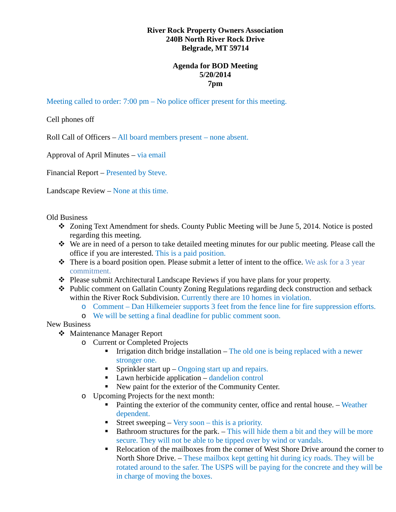# **River Rock Property Owners Association 240B North River Rock Drive Belgrade, MT 59714**

# **Agenda for BOD Meeting 5/20/2014 7pm**

Meeting called to order: 7:00 pm – No police officer present for this meeting.

Cell phones off

Roll Call of Officers – All board members present – none absent.

Approval of April Minutes – via email

Financial Report – Presented by Steve.

Landscape Review – None at this time.

Old Business

- Zoning Text Amendment for sheds. County Public Meeting will be June 5, 2014. Notice is posted regarding this meeting.
- We are in need of a person to take detailed meeting minutes for our public meeting. Please call the office if you are interested. This is a paid position.
- $\bullet$  There is a board position open. Please submit a letter of intent to the office. We ask for a 3 year commitment.
- Please submit Architectural Landscape Reviews if you have plans for your property.
- Public comment on Gallatin County Zoning Regulations regarding deck construction and setback within the River Rock Subdivision. Currently there are 10 homes in violation.
	- o Comment Dan Hilkemeier supports 3 feet from the fence line for fire suppression efforts.
	- o We will be setting a final deadline for public comment soon.

New Business

- Maintenance Manager Report
	- o Current or Completed Projects
		- **Irrigation ditch bridge installation The old one is being replaced with a newer** stronger one.
		- Sprinkler start up  $-$  Ongoing start up and repairs.
		- $\blacksquare$  Lawn herbicide application dandelion control
		- New paint for the exterior of the Community Center.
	- o Upcoming Projects for the next month:
		- Painting the exterior of the community center, office and rental house. Weather dependent.
		- Street sweeping Very soon this is a priority.
		- **Bathroom structures for the park.** This will hide them a bit and they will be more secure. They will not be able to be tipped over by wind or vandals.
		- Relocation of the mailboxes from the corner of West Shore Drive around the corner to North Shore Drive. – These mailbox kept getting hit during icy roads. They will be rotated around to the safer. The USPS will be paying for the concrete and they will be in charge of moving the boxes.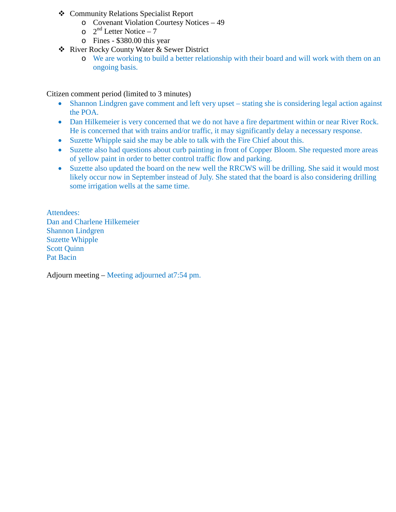- Community Relations Specialist Report
	- o Covenant Violation Courtesy Notices 49
	- $\circ$  2<sup>nd</sup> Letter Notice 7
	- o Fines \$380.00 this year
- River Rocky County Water & Sewer District
	- o We are working to build a better relationship with their board and will work with them on an ongoing basis.

Citizen comment period (limited to 3 minutes)

- Shannon Lindgren gave comment and left very upset stating she is considering legal action against the POA.
- Dan Hilkemeier is very concerned that we do not have a fire department within or near River Rock. He is concerned that with trains and/or traffic, it may significantly delay a necessary response.
- Suzette Whipple said she may be able to talk with the Fire Chief about this.
- Suzette also had questions about curb painting in front of Copper Bloom. She requested more areas of yellow paint in order to better control traffic flow and parking.
- Suzette also updated the board on the new well the RRCWS will be drilling. She said it would most likely occur now in September instead of July. She stated that the board is also considering drilling some irrigation wells at the same time.

Attendees: Dan and Charlene Hilkemeier Shannon Lindgren Suzette Whipple Scott Quinn Pat Bacin

Adjourn meeting – Meeting adjourned at7:54 pm.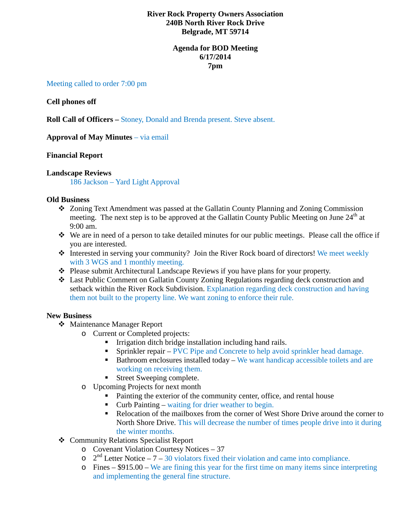# **River Rock Property Owners Association 240B North River Rock Drive Belgrade, MT 59714**

# **Agenda for BOD Meeting 6/17/2014 7pm**

#### Meeting called to order 7:00 pm

#### **Cell phones off**

**Roll Call of Officers –** Stoney, Donald and Brenda present. Steve absent.

**Approval of May Minutes** – via email

#### **Financial Report**

#### **Landscape Reviews**

186 Jackson – Yard Light Approval

#### **Old Business**

- Zoning Text Amendment was passed at the Gallatin County Planning and Zoning Commission meeting. The next step is to be approved at the Gallatin County Public Meeting on June  $24<sup>th</sup>$  at 9:00 am.
- We are in need of a person to take detailed minutes for our public meetings. Please call the office if you are interested.
- \* Interested in serving your community? Join the River Rock board of directors! We meet weekly with 3 WGS and 1 monthly meeting.
- Please submit Architectural Landscape Reviews if you have plans for your property.
- Last Public Comment on Gallatin County Zoning Regulations regarding deck construction and setback within the River Rock Subdivision. Explanation regarding deck construction and having them not built to the property line. We want zoning to enforce their rule.

#### **New Business**

- Maintenance Manager Report
	- o Current or Completed projects:
		- Irrigation ditch bridge installation including hand rails.
		- **Sprinkler repair PVC Pipe and Concrete to help avoid sprinkler head damage.**
		- $\blacksquare$  Bathroom enclosures installed today We want handicap accessible toilets and are working on receiving them.
		- Street Sweeping complete.
		- o Upcoming Projects for next month
			- Painting the exterior of the community center, office, and rental house
			- Curb Painting waiting for drier weather to begin.
			- Relocation of the mailboxes from the corner of West Shore Drive around the corner to North Shore Drive. This will decrease the number of times people drive into it during the winter months.
- Community Relations Specialist Report
	- o Covenant Violation Courtesy Notices 37
	- $\sigma$  2<sup>nd</sup> Letter Notice 7 30 violators fixed their violation and came into compliance.
	- o Fines \$915.00 We are fining this year for the first time on many items since interpreting and implementing the general fine structure.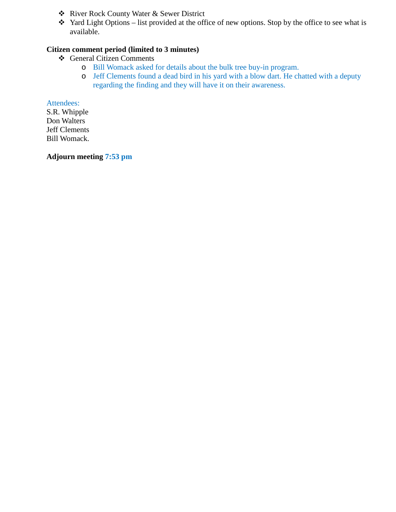- River Rock County Water & Sewer District
- $\cdot$  Yard Light Options list provided at the office of new options. Stop by the office to see what is available.

# **Citizen comment period (limited to 3 minutes)**

- General Citizen Comments
	- o Bill Womack asked for details about the bulk tree buy-in program.
	- o Jeff Clements found a dead bird in his yard with a blow dart. He chatted with a deputy regarding the finding and they will have it on their awareness.

Attendees: S.R. Whipple Don Walters Jeff Clements Bill Womack.

**Adjourn meeting 7:53 pm**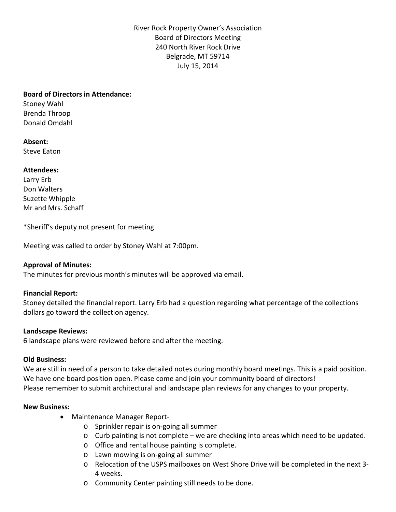River Rock Property Owner's Association Board of Directors Meeting 240 North River Rock Drive Belgrade, MT 59714 July 15, 2014

#### **Board of Directors in Attendance:**

Stoney Wahl Brenda Throop Donald Omdahl

**Absent:** Steve Eaton

#### **Attendees:**

Larry Erb Don Walters Suzette Whipple Mr and Mrs. Schaff

\*Sheriff's deputy not present for meeting.

Meeting was called to order by Stoney Wahl at 7:00pm.

# **Approval of Minutes:**

The minutes for previous month's minutes will be approved via email.

#### **Financial Report:**

Stoney detailed the financial report. Larry Erb had a question regarding what percentage of the collections dollars go toward the collection agency.

#### **Landscape Reviews:**

6 landscape plans were reviewed before and after the meeting.

#### **Old Business:**

We are still in need of a person to take detailed notes during monthly board meetings. This is a paid position. We have one board position open. Please come and join your community board of directors! Please remember to submit architectural and landscape plan reviews for any changes to your property.

#### **New Business:**

- Maintenance Manager Report
	- o Sprinkler repair is on-going all summer
	- o Curb painting is not complete we are checking into areas which need to be updated.
	- o Office and rental house painting is complete.
	- o Lawn mowing is on-going all summer
	- o Relocation of the USPS mailboxes on West Shore Drive will be completed in the next 3- 4 weeks.
	- o Community Center painting still needs to be done.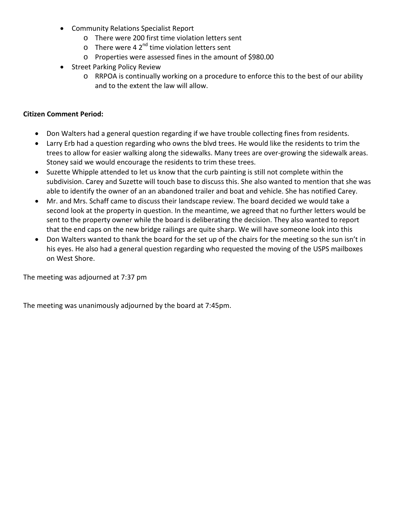- Community Relations Specialist Report
	- o There were 200 first time violation letters sent
	- $\circ$  There were 4 2<sup>nd</sup> time violation letters sent
	- o Properties were assessed fines in the amount of \$980.00
- Street Parking Policy Review
	- o RRPOA is continually working on a procedure to enforce this to the best of our ability and to the extent the law will allow.

# **Citizen Comment Period:**

- Don Walters had a general question regarding if we have trouble collecting fines from residents.
- Larry Erb had a question regarding who owns the blvd trees. He would like the residents to trim the trees to allow for easier walking along the sidewalks. Many trees are over-growing the sidewalk areas. Stoney said we would encourage the residents to trim these trees.
- Suzette Whipple attended to let us know that the curb painting is still not complete within the subdivision. Carey and Suzette will touch base to discuss this. She also wanted to mention that she was able to identify the owner of an an abandoned trailer and boat and vehicle. She has notified Carey.
- Mr. and Mrs. Schaff came to discuss their landscape review. The board decided we would take a second look at the property in question. In the meantime, we agreed that no further letters would be sent to the property owner while the board is deliberating the decision. They also wanted to report that the end caps on the new bridge railings are quite sharp. We will have someone look into this
- Don Walters wanted to thank the board for the set up of the chairs for the meeting so the sun isn't in his eyes. He also had a general question regarding who requested the moving of the USPS mailboxes on West Shore.

The meeting was adjourned at 7:37 pm

The meeting was unanimously adjourned by the board at 7:45pm.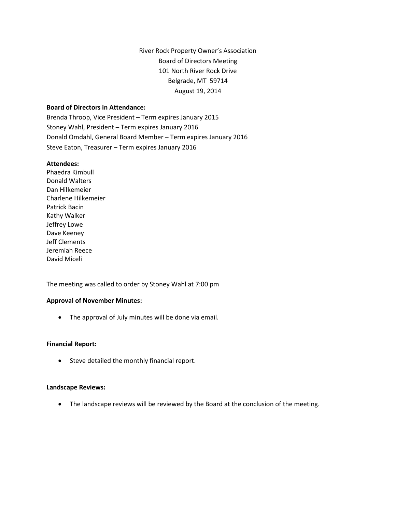River Rock Property Owner's Association Board of Directors Meeting 101 North River Rock Drive Belgrade, MT 59714 August 19, 2014

#### **Board of Directors in Attendance:**

Brenda Throop, Vice President – Term expires January 2015 Stoney Wahl, President – Term expires January 2016 Donald Omdahl, General Board Member – Term expires January 2016 Steve Eaton, Treasurer – Term expires January 2016

#### **Attendees:**

Phaedra Kimbull Donald Walters Dan Hilkemeier Charlene Hilkemeier Patrick Bacin Kathy Walker Jeffrey Lowe Dave Keeney Jeff Clements Jeremiah Reece David Miceli

The meeting was called to order by Stoney Wahl at 7:00 pm

#### **Approval of November Minutes:**

• The approval of July minutes will be done via email.

#### **Financial Report:**

• Steve detailed the monthly financial report.

#### **Landscape Reviews:**

• The landscape reviews will be reviewed by the Board at the conclusion of the meeting.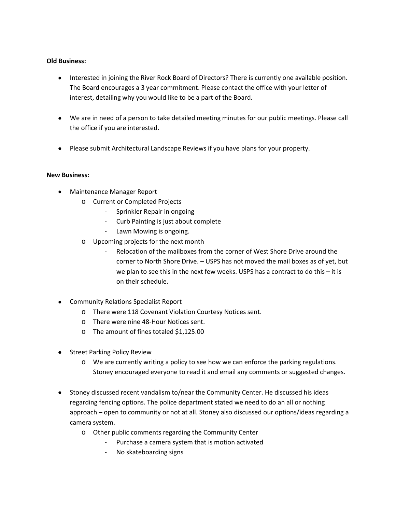#### **Old Business:**

- Interested in joining the River Rock Board of Directors? There is currently one available position. The Board encourages a 3 year commitment. Please contact the office with your letter of interest, detailing why you would like to be a part of the Board.
- We are in need of a person to take detailed meeting minutes for our public meetings. Please call the office if you are interested.
- Please submit Architectural Landscape Reviews if you have plans for your property.

#### **New Business:**

- Maintenance Manager Report
	- o Current or Completed Projects
		- Sprinkler Repair in ongoing
		- Curb Painting is just about complete
		- Lawn Mowing is ongoing.
	- o Upcoming projects for the next month
		- Relocation of the mailboxes from the corner of West Shore Drive around the corner to North Shore Drive. – USPS has not moved the mail boxes as of yet, but we plan to see this in the next few weeks. USPS has a contract to do this – it is on their schedule.
- Community Relations Specialist Report
	- o There were 118 Covenant Violation Courtesy Notices sent.
	- o There were nine 48-Hour Notices sent.
	- o The amount of fines totaled \$1,125.00
- Street Parking Policy Review
	- o We are currently writing a policy to see how we can enforce the parking regulations. Stoney encouraged everyone to read it and email any comments or suggested changes.
- Stoney discussed recent vandalism to/near the Community Center. He discussed his ideas regarding fencing options. The police department stated we need to do an all or nothing approach – open to community or not at all. Stoney also discussed our options/ideas regarding a camera system.
	- o Other public comments regarding the Community Center
		- Purchase a camera system that is motion activated
		- No skateboarding signs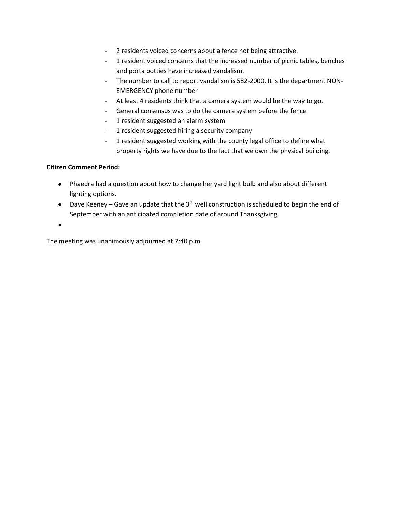- 2 residents voiced concerns about a fence not being attractive.
- 1 resident voiced concerns that the increased number of picnic tables, benches and porta potties have increased vandalism.
- The number to call to report vandalism is 582-2000. It is the department NON-EMERGENCY phone number
- At least 4 residents think that a camera system would be the way to go.
- General consensus was to do the camera system before the fence
- 1 resident suggested an alarm system
- 1 resident suggested hiring a security company
- 1 resident suggested working with the county legal office to define what property rights we have due to the fact that we own the physical building.

#### **Citizen Comment Period:**

- Phaedra had a question about how to change her yard light bulb and also about different lighting options.
- Dave Keeney Gave an update that the  $3^{rd}$  well construction is scheduled to begin the end of September with an anticipated completion date of around Thanksgiving.

•

The meeting was unanimously adjourned at 7:40 p.m.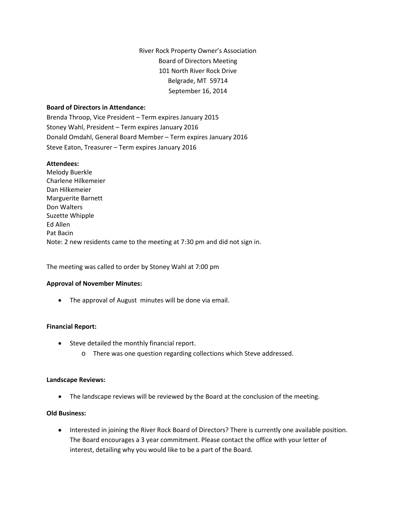River Rock Property Owner's Association Board of Directors Meeting 101 North River Rock Drive Belgrade, MT 59714 September 16, 2014

#### **Board of Directors in Attendance:**

Brenda Throop, Vice President – Term expires January 2015 Stoney Wahl, President – Term expires January 2016 Donald Omdahl, General Board Member – Term expires January 2016 Steve Eaton, Treasurer – Term expires January 2016

#### **Attendees:**

Melody Buerkle Charlene Hilkemeier Dan Hilkemeier Marguerite Barnett Don Walters Suzette Whipple Ed Allen Pat Bacin Note: 2 new residents came to the meeting at 7:30 pm and did not sign in.

The meeting was called to order by Stoney Wahl at 7:00 pm

#### **Approval of November Minutes:**

• The approval of August minutes will be done via email.

#### **Financial Report:**

- Steve detailed the monthly financial report.
	- o There was one question regarding collections which Steve addressed.

#### **Landscape Reviews:**

• The landscape reviews will be reviewed by the Board at the conclusion of the meeting.

#### **Old Business:**

• Interested in joining the River Rock Board of Directors? There is currently one available position. The Board encourages a 3 year commitment. Please contact the office with your letter of interest, detailing why you would like to be a part of the Board.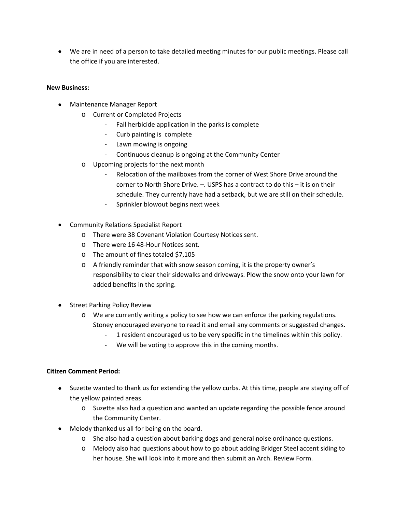• We are in need of a person to take detailed meeting minutes for our public meetings. Please call the office if you are interested.

#### **New Business:**

- Maintenance Manager Report
	- o Current or Completed Projects
		- Fall herbicide application in the parks is complete
		- Curb painting is complete
		- Lawn mowing is ongoing
		- Continuous cleanup is ongoing at the Community Center
		- o Upcoming projects for the next month
			- Relocation of the mailboxes from the corner of West Shore Drive around the corner to North Shore Drive. –. USPS has a contract to do this – it is on their schedule. They currently have had a setback, but we are still on their schedule.
			- Sprinkler blowout begins next week
- Community Relations Specialist Report
	- o There were 38 Covenant Violation Courtesy Notices sent.
	- o There were 16 48-Hour Notices sent.
	- o The amount of fines totaled \$7,105
	- o A friendly reminder that with snow season coming, it is the property owner's responsibility to clear their sidewalks and driveways. Plow the snow onto your lawn for added benefits in the spring.
- Street Parking Policy Review
	- o We are currently writing a policy to see how we can enforce the parking regulations. Stoney encouraged everyone to read it and email any comments or suggested changes.
		- 1 resident encouraged us to be very specific in the timelines within this policy.
		- We will be voting to approve this in the coming months.

# **Citizen Comment Period:**

- Suzette wanted to thank us for extending the yellow curbs. At this time, people are staying off of the yellow painted areas.
	- o Suzette also had a question and wanted an update regarding the possible fence around the Community Center.
- Melody thanked us all for being on the board.
	- o She also had a question about barking dogs and general noise ordinance questions.
	- o Melody also had questions about how to go about adding Bridger Steel accent siding to her house. She will look into it more and then submit an Arch. Review Form.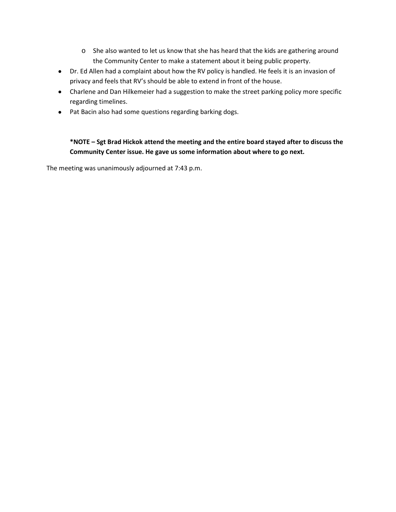- o She also wanted to let us know that she has heard that the kids are gathering around the Community Center to make a statement about it being public property.
- Dr. Ed Allen had a complaint about how the RV policy is handled. He feels it is an invasion of privacy and feels that RV's should be able to extend in front of the house.
- Charlene and Dan Hilkemeier had a suggestion to make the street parking policy more specific regarding timelines.
- Pat Bacin also had some questions regarding barking dogs.

# **\*NOTE – Sgt Brad Hickok attend the meeting and the entire board stayed after to discuss the Community Center issue. He gave us some information about where to go next.**

The meeting was unanimously adjourned at 7:43 p.m.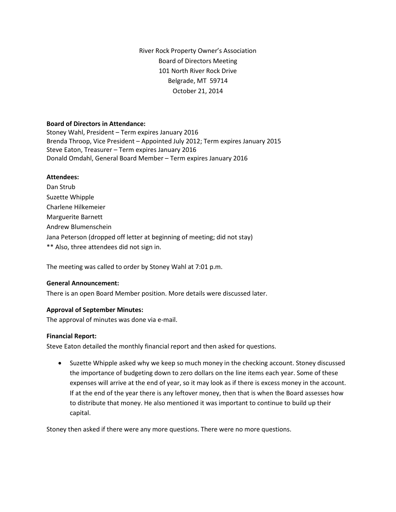River Rock Property Owner's Association Board of Directors Meeting 101 North River Rock Drive Belgrade, MT 59714 October 21, 2014

#### **Board of Directors in Attendance:**

Stoney Wahl, President – Term expires January 2016 Brenda Throop, Vice President – Appointed July 2012; Term expires January 2015 Steve Eaton, Treasurer – Term expires January 2016 Donald Omdahl, General Board Member – Term expires January 2016

#### **Attendees:**

Dan Strub Suzette Whipple Charlene Hilkemeier Marguerite Barnett Andrew Blumenschein Jana Peterson (dropped off letter at beginning of meeting; did not stay) \*\* Also, three attendees did not sign in.

The meeting was called to order by Stoney Wahl at 7:01 p.m.

#### **General Announcement:**

There is an open Board Member position. More details were discussed later.

#### **Approval of September Minutes:**

The approval of minutes was done via e-mail.

#### **Financial Report:**

Steve Eaton detailed the monthly financial report and then asked for questions.

• Suzette Whipple asked why we keep so much money in the checking account. Stoney discussed the importance of budgeting down to zero dollars on the line items each year. Some of these expenses will arrive at the end of year, so it may look as if there is excess money in the account. If at the end of the year there is any leftover money, then that is when the Board assesses how to distribute that money. He also mentioned it was important to continue to build up their capital.

Stoney then asked if there were any more questions. There were no more questions.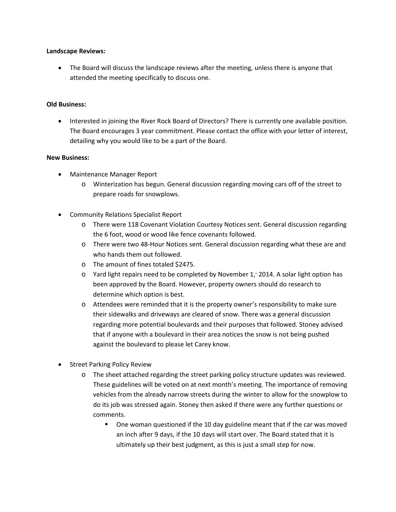#### **Landscape Reviews:**

• The Board will discuss the landscape reviews after the meeting, unless there is anyone that attended the meeting specifically to discuss one.

#### **Old Business:**

• Interested in joining the River Rock Board of Directors? There is currently one available position. The Board encourages 3 year commitment. Please contact the office with your letter of interest, detailing why you would like to be a part of the Board.

#### **New Business:**

- Maintenance Manager Report
	- o Winterization has begun. General discussion regarding moving cars off of the street to prepare roads for snowplows.
- Community Relations Specialist Report
	- o There were 118 Covenant Violation Courtesy Notices sent. General discussion regarding the 6 foot, wood or wood like fence covenants followed.
	- o There were two 48-Hour Notices sent. General discussion regarding what these are and who hands them out followed.
	- o The amount of fines totaled \$2475.
	- $\circ$  Yard light repairs need to be completed by November 1," 2014. A solar light option has been approved by the Board. However, property owners should do research to determine which option is best.
	- o Attendees were reminded that it is the property owner's responsibility to make sure their sidewalks and driveways are cleared of snow. There was a general discussion regarding more potential boulevards and their purposes that followed. Stoney advised that if anyone with a boulevard in their area notices the snow is not being pushed against the boulevard to please let Carey know.
- Street Parking Policy Review
	- o The sheet attached regarding the street parking policy structure updates was reviewed. These guidelines will be voted on at next month's meeting. The importance of removing vehicles from the already narrow streets during the winter to allow for the snowplow to do its job was stressed again. Stoney then asked if there were any further questions or comments.
		- One woman questioned if the 10 day guideline meant that if the car was moved an inch after 9 days, if the 10 days will start over. The Board stated that it is ultimately up their best judgment, as this is just a small step for now.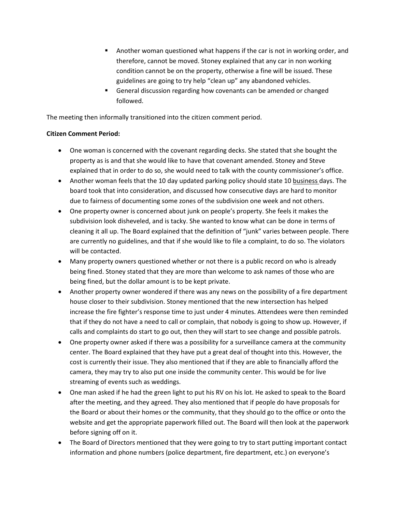- Another woman questioned what happens if the car is not in working order, and therefore, cannot be moved. Stoney explained that any car in non working condition cannot be on the property, otherwise a fine will be issued. These guidelines are going to try help "clean up" any abandoned vehicles.
- **General discussion regarding how covenants can be amended or changed** followed.

The meeting then informally transitioned into the citizen comment period.

#### **Citizen Comment Period:**

- One woman is concerned with the covenant regarding decks. She stated that she bought the property as is and that she would like to have that covenant amended. Stoney and Steve explained that in order to do so, she would need to talk with the county commissioner's office.
- Another woman feels that the 10 day updated parking policy should state 10 business days. The board took that into consideration, and discussed how consecutive days are hard to monitor due to fairness of documenting some zones of the subdivision one week and not others.
- One property owner is concerned about junk on people's property. She feels it makes the subdivision look disheveled, and is tacky. She wanted to know what can be done in terms of cleaning it all up. The Board explained that the definition of "junk" varies between people. There are currently no guidelines, and that if she would like to file a complaint, to do so. The violators will be contacted.
- Many property owners questioned whether or not there is a public record on who is already being fined. Stoney stated that they are more than welcome to ask names of those who are being fined, but the dollar amount is to be kept private.
- Another property owner wondered if there was any news on the possibility of a fire department house closer to their subdivision. Stoney mentioned that the new intersection has helped increase the fire fighter's response time to just under 4 minutes. Attendees were then reminded that if they do not have a need to call or complain, that nobody is going to show up. However, if calls and complaints do start to go out, then they will start to see change and possible patrols.
- One property owner asked if there was a possibility for a surveillance camera at the community center. The Board explained that they have put a great deal of thought into this. However, the cost is currently their issue. They also mentioned that if they are able to financially afford the camera, they may try to also put one inside the community center. This would be for live streaming of events such as weddings.
- One man asked if he had the green light to put his RV on his lot. He asked to speak to the Board after the meeting, and they agreed. They also mentioned that if people do have proposals for the Board or about their homes or the community, that they should go to the office or onto the website and get the appropriate paperwork filled out. The Board will then look at the paperwork before signing off on it.
- The Board of Directors mentioned that they were going to try to start putting important contact information and phone numbers (police department, fire department, etc.) on everyone's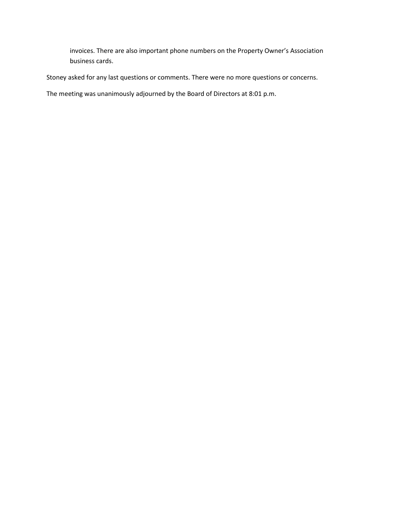invoices. There are also important phone numbers on the Property Owner's Association business cards.

Stoney asked for any last questions or comments. There were no more questions or concerns.

The meeting was unanimously adjourned by the Board of Directors at 8:01 p.m.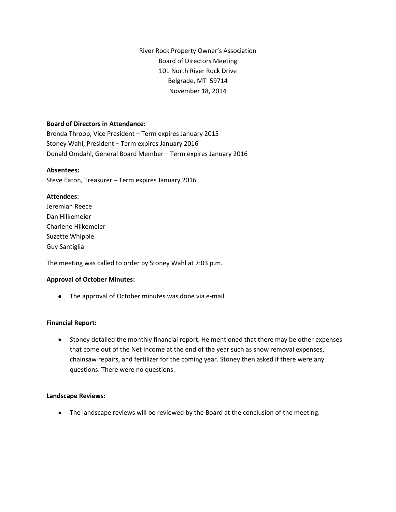River Rock Property Owner's Association Board of Directors Meeting 101 North River Rock Drive Belgrade, MT 59714 November 18, 2014

#### **Board of Directors in Attendance:**

Brenda Throop, Vice President – Term expires January 2015 Stoney Wahl, President – Term expires January 2016 Donald Omdahl, General Board Member – Term expires January 2016

#### **Absentees:**

Steve Eaton, Treasurer – Term expires January 2016

#### **Attendees:**

| Jeremiah Reece      |
|---------------------|
| Dan Hilkemeier      |
| Charlene Hilkemeier |
| Suzette Whipple     |
| Guy Santiglia       |

The meeting was called to order by Stoney Wahl at 7:03 p.m.

#### **Approval of October Minutes:**

• The approval of October minutes was done via e-mail.

#### **Financial Report:**

• Stoney detailed the monthly financial report. He mentioned that there may be other expenses that come out of the Net Income at the end of the year such as snow removal expenses, chainsaw repairs, and fertilizer for the coming year. Stoney then asked if there were any questions. There were no questions.

#### **Landscape Reviews:**

• The landscape reviews will be reviewed by the Board at the conclusion of the meeting.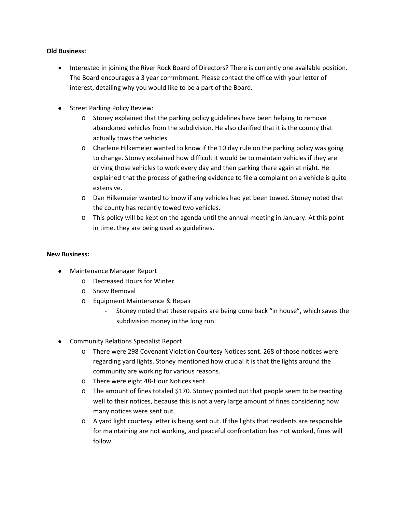#### **Old Business:**

- Interested in joining the River Rock Board of Directors? There is currently one available position. The Board encourages a 3 year commitment. Please contact the office with your letter of interest, detailing why you would like to be a part of the Board.
- Street Parking Policy Review:
	- o Stoney explained that the parking policy guidelines have been helping to remove abandoned vehicles from the subdivision. He also clarified that it is the county that actually tows the vehicles.
	- o Charlene Hilkemeier wanted to know if the 10 day rule on the parking policy was going to change. Stoney explained how difficult it would be to maintain vehicles if they are driving those vehicles to work every day and then parking there again at night. He explained that the process of gathering evidence to file a complaint on a vehicle is quite extensive.
	- o Dan Hilkemeier wanted to know if any vehicles had yet been towed. Stoney noted that the county has recently towed two vehicles.
	- o This policy will be kept on the agenda until the annual meeting in January. At this point in time, they are being used as guidelines.

#### **New Business:**

- Maintenance Manager Report
	- o Decreased Hours for Winter
	- o Snow Removal
	- o Equipment Maintenance & Repair
		- Stoney noted that these repairs are being done back "in house", which saves the subdivision money in the long run.
- Community Relations Specialist Report
	- o There were 298 Covenant Violation Courtesy Notices sent. 268 of those notices were regarding yard lights. Stoney mentioned how crucial it is that the lights around the community are working for various reasons.
	- o There were eight 48-Hour Notices sent.
	- o The amount of fines totaled \$170. Stoney pointed out that people seem to be reacting well to their notices, because this is not a very large amount of fines considering how many notices were sent out.
	- $\circ$  A yard light courtesy letter is being sent out. If the lights that residents are responsible for maintaining are not working, and peaceful confrontation has not worked, fines will follow.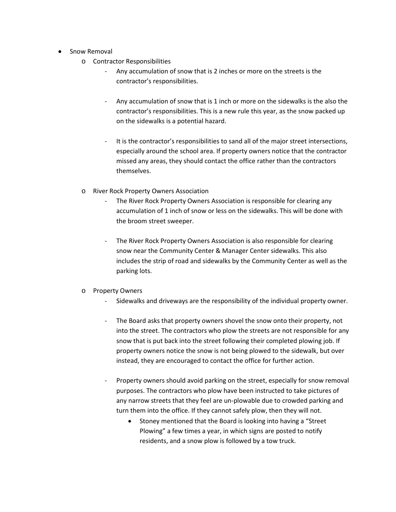- Snow Removal
	- o Contractor Responsibilities
		- Any accumulation of snow that is 2 inches or more on the streets is the contractor's responsibilities.
		- Any accumulation of snow that is 1 inch or more on the sidewalks is the also the contractor's responsibilities. This is a new rule this year, as the snow packed up on the sidewalks is a potential hazard.
		- It is the contractor's responsibilities to sand all of the major street intersections, especially around the school area. If property owners notice that the contractor missed any areas, they should contact the office rather than the contractors themselves.
	- o River Rock Property Owners Association
		- The River Rock Property Owners Association is responsible for clearing any accumulation of 1 inch of snow or less on the sidewalks. This will be done with the broom street sweeper.
		- The River Rock Property Owners Association is also responsible for clearing snow near the Community Center & Manager Center sidewalks. This also includes the strip of road and sidewalks by the Community Center as well as the parking lots.

# o Property Owners

- Sidewalks and driveways are the responsibility of the individual property owner.
- The Board asks that property owners shovel the snow onto their property, not into the street. The contractors who plow the streets are not responsible for any snow that is put back into the street following their completed plowing job. If property owners notice the snow is not being plowed to the sidewalk, but over instead, they are encouraged to contact the office for further action.
- Property owners should avoid parking on the street, especially for snow removal purposes. The contractors who plow have been instructed to take pictures of any narrow streets that they feel are un-plowable due to crowded parking and turn them into the office. If they cannot safely plow, then they will not.
	- Stoney mentioned that the Board is looking into having a "Street Plowing" a few times a year, in which signs are posted to notify residents, and a snow plow is followed by a tow truck.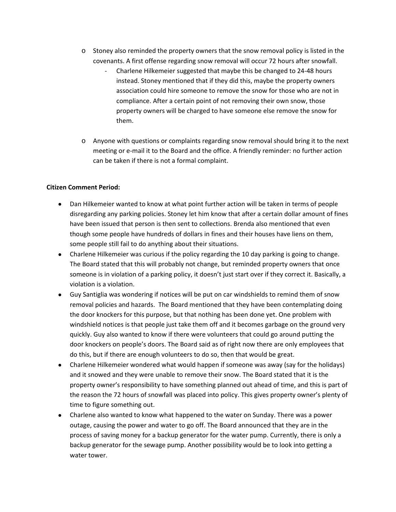- $\circ$  Stoney also reminded the property owners that the snow removal policy is listed in the covenants. A first offense regarding snow removal will occur 72 hours after snowfall.
	- Charlene Hilkemeier suggested that maybe this be changed to 24-48 hours instead. Stoney mentioned that if they did this, maybe the property owners association could hire someone to remove the snow for those who are not in compliance. After a certain point of not removing their own snow, those property owners will be charged to have someone else remove the snow for them.
- o Anyone with questions or complaints regarding snow removal should bring it to the next meeting or e-mail it to the Board and the office. A friendly reminder: no further action can be taken if there is not a formal complaint.

#### **Citizen Comment Period:**

- Dan Hilkemeier wanted to know at what point further action will be taken in terms of people disregarding any parking policies. Stoney let him know that after a certain dollar amount of fines have been issued that person is then sent to collections. Brenda also mentioned that even though some people have hundreds of dollars in fines and their houses have liens on them, some people still fail to do anything about their situations.
- Charlene Hilkemeier was curious if the policy regarding the 10 day parking is going to change. The Board stated that this will probably not change, but reminded property owners that once someone is in violation of a parking policy, it doesn't just start over if they correct it. Basically, a violation is a violation.
- Guy Santiglia was wondering if notices will be put on car windshields to remind them of snow removal policies and hazards. The Board mentioned that they have been contemplating doing the door knockers for this purpose, but that nothing has been done yet. One problem with windshield notices is that people just take them off and it becomes garbage on the ground very quickly. Guy also wanted to know if there were volunteers that could go around putting the door knockers on people's doors. The Board said as of right now there are only employees that do this, but if there are enough volunteers to do so, then that would be great.
- Charlene Hilkemeier wondered what would happen if someone was away (say for the holidays) and it snowed and they were unable to remove their snow. The Board stated that it is the property owner's responsibility to have something planned out ahead of time, and this is part of the reason the 72 hours of snowfall was placed into policy. This gives property owner's plenty of time to figure something out.
- Charlene also wanted to know what happened to the water on Sunday. There was a power outage, causing the power and water to go off. The Board announced that they are in the process of saving money for a backup generator for the water pump. Currently, there is only a backup generator for the sewage pump. Another possibility would be to look into getting a water tower.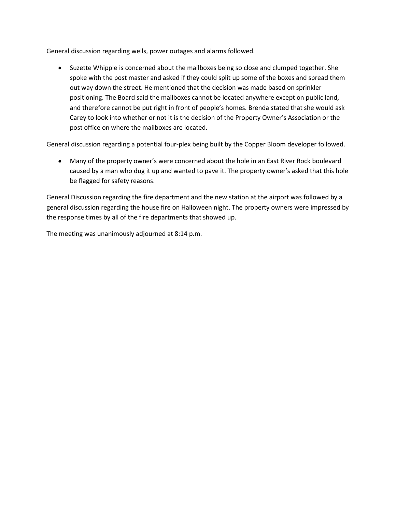General discussion regarding wells, power outages and alarms followed.

• Suzette Whipple is concerned about the mailboxes being so close and clumped together. She spoke with the post master and asked if they could split up some of the boxes and spread them out way down the street. He mentioned that the decision was made based on sprinkler positioning. The Board said the mailboxes cannot be located anywhere except on public land, and therefore cannot be put right in front of people's homes. Brenda stated that she would ask Carey to look into whether or not it is the decision of the Property Owner's Association or the post office on where the mailboxes are located.

General discussion regarding a potential four-plex being built by the Copper Bloom developer followed.

• Many of the property owner's were concerned about the hole in an East River Rock boulevard caused by a man who dug it up and wanted to pave it. The property owner's asked that this hole be flagged for safety reasons.

General Discussion regarding the fire department and the new station at the airport was followed by a general discussion regarding the house fire on Halloween night. The property owners were impressed by the response times by all of the fire departments that showed up.

The meeting was unanimously adjourned at 8:14 p.m.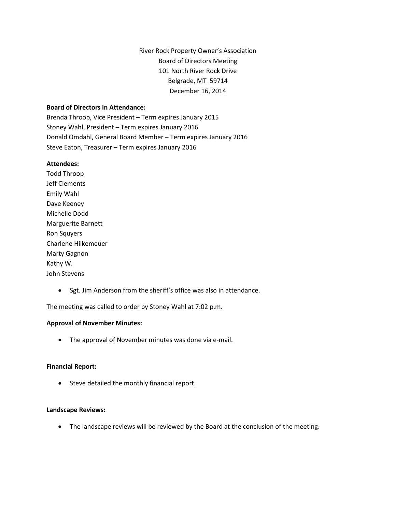River Rock Property Owner's Association Board of Directors Meeting 101 North River Rock Drive Belgrade, MT 59714 December 16, 2014

#### **Board of Directors in Attendance:**

Brenda Throop, Vice President – Term expires January 2015 Stoney Wahl, President – Term expires January 2016 Donald Omdahl, General Board Member – Term expires January 2016 Steve Eaton, Treasurer – Term expires January 2016

#### **Attendees:**

Todd Throop Jeff Clements Emily Wahl Dave Keeney Michelle Dodd Marguerite Barnett Ron Squyers Charlene Hilkemeuer Marty Gagnon Kathy W. John Stevens

• Sgt. Jim Anderson from the sheriff's office was also in attendance.

The meeting was called to order by Stoney Wahl at 7:02 p.m.

#### **Approval of November Minutes:**

• The approval of November minutes was done via e-mail.

#### **Financial Report:**

• Steve detailed the monthly financial report.

#### **Landscape Reviews:**

• The landscape reviews will be reviewed by the Board at the conclusion of the meeting.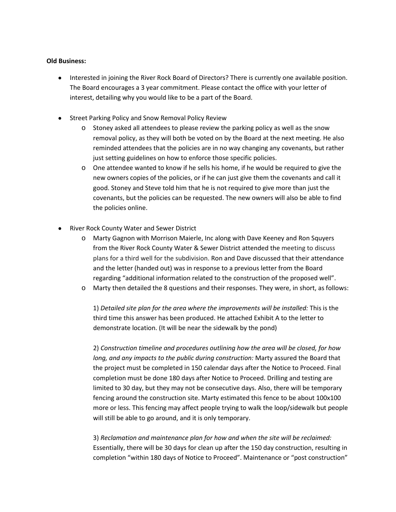#### **Old Business:**

- Interested in joining the River Rock Board of Directors? There is currently one available position. The Board encourages a 3 year commitment. Please contact the office with your letter of interest, detailing why you would like to be a part of the Board.
- Street Parking Policy and Snow Removal Policy Review
	- o Stoney asked all attendees to please review the parking policy as well as the snow removal policy, as they will both be voted on by the Board at the next meeting. He also reminded attendees that the policies are in no way changing any covenants, but rather just setting guidelines on how to enforce those specific policies.
	- $\circ$  One attendee wanted to know if he sells his home, if he would be required to give the new owners copies of the policies, or if he can just give them the covenants and call it good. Stoney and Steve told him that he is not required to give more than just the covenants, but the policies can be requested. The new owners will also be able to find the policies online.
- River Rock County Water and Sewer District
	- o Marty Gagnon with Morrison Maierle, Inc along with Dave Keeney and Ron Squyers from the River Rock County Water & Sewer District attended the meeting to discuss plans for a third well for the subdivision. Ron and Dave discussed that their attendance and the letter (handed out) was in response to a previous letter from the Board regarding "additional information related to the construction of the proposed well".
	- o Marty then detailed the 8 questions and their responses. They were, in short, as follows:

1) *Detailed site plan for the area where the improvements will be installed:* This is the third time this answer has been produced. He attached Exhibit A to the letter to demonstrate location. (It will be near the sidewalk by the pond)

2) *Construction timeline and procedures outlining how the area will be closed, for how long, and any impacts to the public during construction:* Marty assured the Board that the project must be completed in 150 calendar days after the Notice to Proceed. Final completion must be done 180 days after Notice to Proceed. Drilling and testing are limited to 30 day, but they may not be consecutive days. Also, there will be temporary fencing around the construction site. Marty estimated this fence to be about 100x100 more or less. This fencing may affect people trying to walk the loop/sidewalk but people will still be able to go around, and it is only temporary.

3) *Reclamation and maintenance plan for how and when the site will be reclaimed:*  Essentially, there will be 30 days for clean up after the 150 day construction, resulting in completion "within 180 days of Notice to Proceed". Maintenance or "post construction"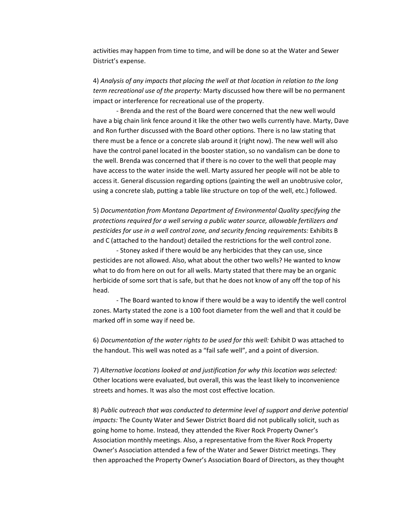activities may happen from time to time, and will be done so at the Water and Sewer District's expense.

4) *Analysis of any impacts that placing the well at that location in relation to the long term recreational use of the property:* Marty discussed how there will be no permanent impact or interference for recreational use of the property.

- Brenda and the rest of the Board were concerned that the new well would have a big chain link fence around it like the other two wells currently have. Marty, Dave and Ron further discussed with the Board other options. There is no law stating that there must be a fence or a concrete slab around it (right now). The new well will also have the control panel located in the booster station, so no vandalism can be done to the well. Brenda was concerned that if there is no cover to the well that people may have access to the water inside the well. Marty assured her people will not be able to access it. General discussion regarding options (painting the well an unobtrusive color, using a concrete slab, putting a table like structure on top of the well, etc.) followed.

5) *Documentation from Montana Department of Environmental Quality specifying the protections required for a well serving a public water source, allowable fertilizers and pesticides for use in a well control zone, and security fencing requirements:* Exhibits B and C (attached to the handout) detailed the restrictions for the well control zone.

- Stoney asked if there would be any herbicides that they can use, since pesticides are not allowed. Also, what about the other two wells? He wanted to know what to do from here on out for all wells. Marty stated that there may be an organic herbicide of some sort that is safe, but that he does not know of any off the top of his head.

- The Board wanted to know if there would be a way to identify the well control zones. Marty stated the zone is a 100 foot diameter from the well and that it could be marked off in some way if need be.

6) *Documentation of the water rights to be used for this well:* Exhibit D was attached to the handout. This well was noted as a "fail safe well", and a point of diversion.

7) *Alternative locations looked at and justification for why this location was selected:*  Other locations were evaluated, but overall, this was the least likely to inconvenience streets and homes. It was also the most cost effective location.

8) *Public outreach that was conducted to determine level of support and derive potential impacts:* The County Water and Sewer District Board did not publically solicit, such as going home to home. Instead, they attended the River Rock Property Owner's Association monthly meetings. Also, a representative from the River Rock Property Owner's Association attended a few of the Water and Sewer District meetings. They then approached the Property Owner's Association Board of Directors, as they thought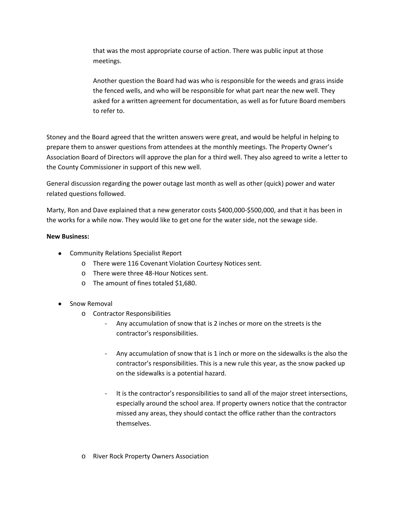that was the most appropriate course of action. There was public input at those meetings.

Another question the Board had was who is responsible for the weeds and grass inside the fenced wells, and who will be responsible for what part near the new well. They asked for a written agreement for documentation, as well as for future Board members to refer to.

Stoney and the Board agreed that the written answers were great, and would be helpful in helping to prepare them to answer questions from attendees at the monthly meetings. The Property Owner's Association Board of Directors will approve the plan for a third well. They also agreed to write a letter to the County Commissioner in support of this new well.

General discussion regarding the power outage last month as well as other (quick) power and water related questions followed.

Marty, Ron and Dave explained that a new generator costs \$400,000-\$500,000, and that it has been in the works for a while now. They would like to get one for the water side, not the sewage side.

# **New Business:**

- Community Relations Specialist Report
	- o There were 116 Covenant Violation Courtesy Notices sent.
	- o There were three 48-Hour Notices sent.
	- o The amount of fines totaled \$1,680.
- Snow Removal
	- o Contractor Responsibilities
		- Any accumulation of snow that is 2 inches or more on the streets is the contractor's responsibilities.
		- Any accumulation of snow that is 1 inch or more on the sidewalks is the also the contractor's responsibilities. This is a new rule this year, as the snow packed up on the sidewalks is a potential hazard.
		- It is the contractor's responsibilities to sand all of the major street intersections, especially around the school area. If property owners notice that the contractor missed any areas, they should contact the office rather than the contractors themselves.
	- o River Rock Property Owners Association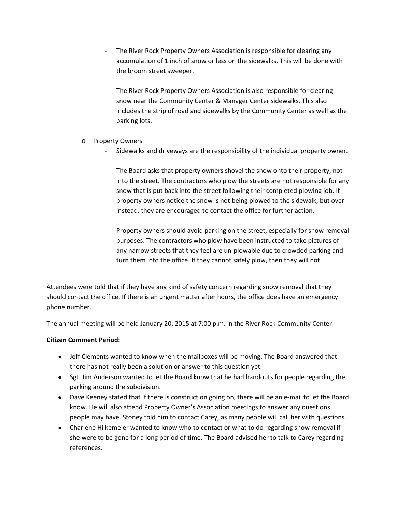- The River Rock Property Owners Association is responsible for clearing any accumulation of 1 inch of snow or less on the sidewalks. This will be done with the broom street sweeper.
- The River Rock Property Owners Association is also responsible for clearing snow near the Community Center & Manager Center sidewalks. This also includes the strip of road and sidewalks by the Community Center as well as the parking lots.
- o Property Owners

-

- Sidewalks and driveways are the responsibility of the individual property owner.
- The Board asks that property owners shovel the snow onto their property, not into the street. The contractors who plow the streets are not responsible for any snow that is put back into the street following their completed plowing job. If property owners notice the snow is not being plowed to the sidewalk, but over instead, they are encouraged to contact the office for further action.
- Property owners should avoid parking on the street, especially for snow removal purposes. The contractors who plow have been instructed to take pictures of any narrow streets that they feel are un-plowable due to crowded parking and turn them into the office. If they cannot safely plow, then they will not.

Attendees were told that if they have any kind of safety concern regarding snow removal that they should contact the office. If there is an urgent matter after hours, the office does have an emergency phone number.

The annual meeting will be held January 20, 2015 at 7:00 p.m. in the River Rock Community Center.

#### **Citizen Comment Period:**

- Jeff Clements wanted to know when the mailboxes will be moving. The Board answered that there has not really been a solution or answer to this question yet.
- Sgt. Jim Anderson wanted to let the Board know that he had handouts for people regarding the parking around the subdivision.
- Dave Keeney stated that if there is construction going on, there will be an e-mail to let the Board know. He will also attend Property Owner's Association meetings to answer any questions people may have. Stoney told him to contact Carey, as many people will call her with questions.
- Charlene Hilkemeier wanted to know who to contact or what to do regarding snow removal if she were to be gone for a long period of time. The Board advised her to talk to Carey regarding references.